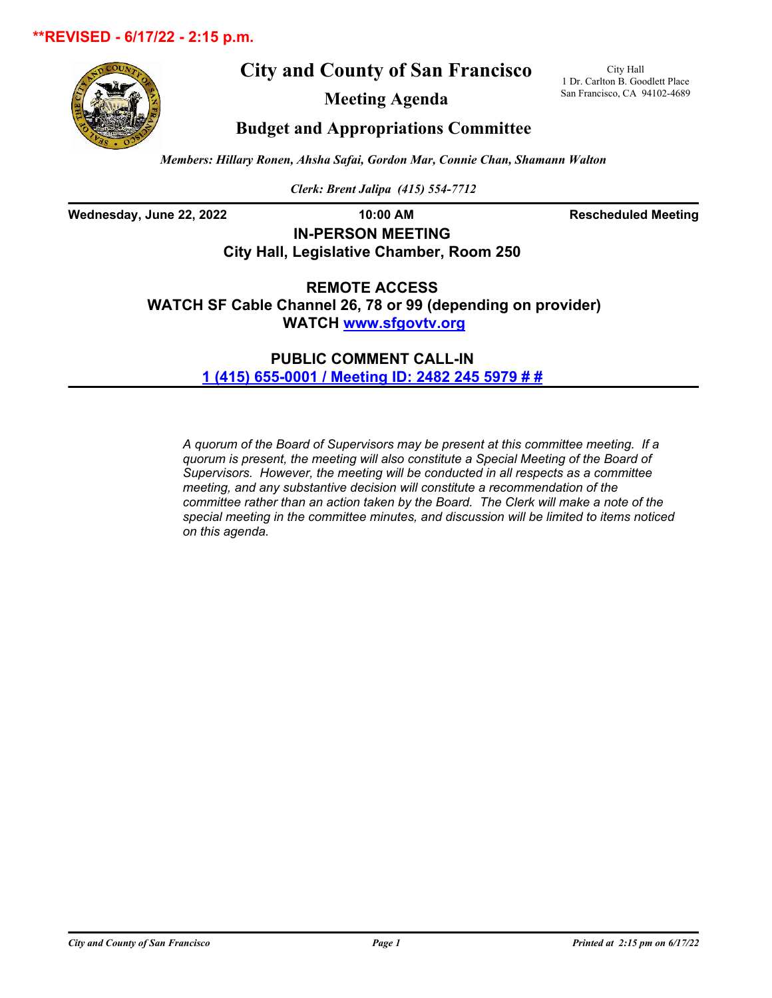## **\*\*REVISED - 6/17/22 - 2:15 p.m.**





**Meeting Agenda**

City Hall 1 Dr. Carlton B. Goodlett Place San Francisco, CA 94102-4689

# **Budget and Appropriations Committee**

*Members: Hillary Ronen, Ahsha Safai, Gordon Mar, Connie Chan, Shamann Walton*

*Clerk: Brent Jalipa (415) 554-7712*

Wednesday, June 22, 2022 **10:00 AM Rescheduled Meeting** 

**IN-PERSON MEETING City Hall, Legislative Chamber, Room 250**

**REMOTE ACCESS WATCH SF Cable Channel 26, 78 or 99 (depending on provider) WATCH<www.sfgovtv.org>**

> **PUBLIC COMMENT CALL-IN [1 \(415\) 655-0001 / Meeting ID: 2482 245 5979 # #](tel:+14156550001,,24822455979#,,#)**

*A quorum of the Board of Supervisors may be present at this committee meeting. If a quorum is present, the meeting will also constitute a Special Meeting of the Board of Supervisors. However, the meeting will be conducted in all respects as a committee meeting, and any substantive decision will constitute a recommendation of the committee rather than an action taken by the Board. The Clerk will make a note of the special meeting in the committee minutes, and discussion will be limited to items noticed on this agenda.*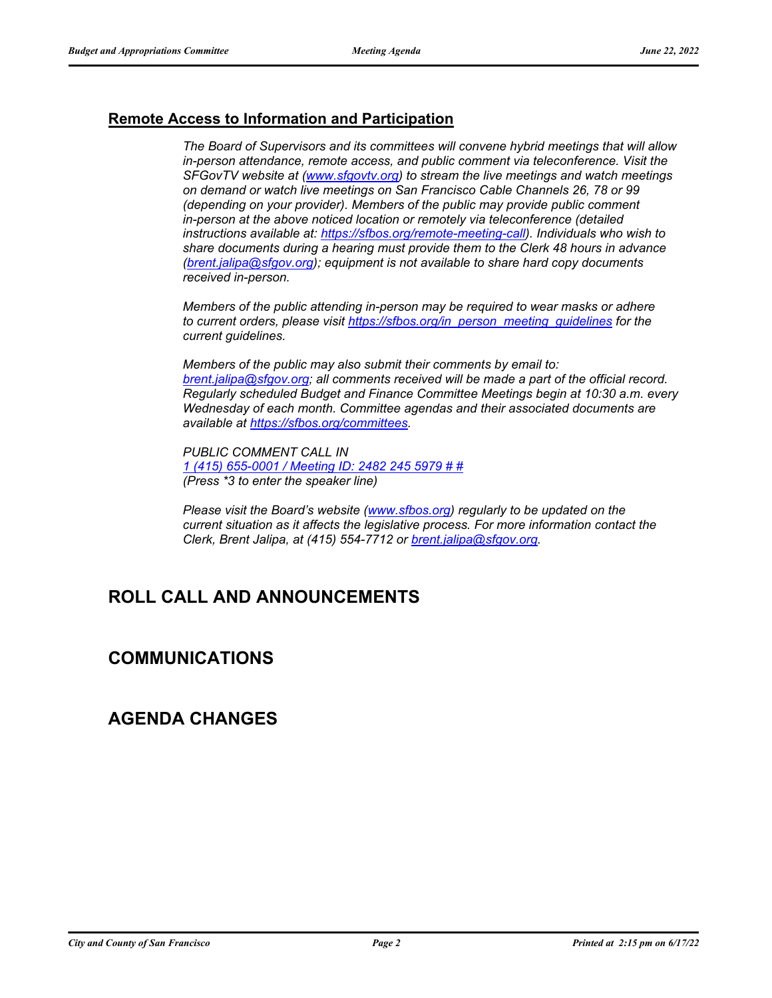## **Remote Access to Information and Participation**

*The Board of Supervisors and its committees will convene hybrid meetings that will allow in-person attendance, remote access, and public comment via teleconference. Visit the SFGovTV website at [\(www.sfgovtv.org\)](www.sfgovtv.org) to stream the live meetings and watch meetings on demand or watch live meetings on San Francisco Cable Channels 26, 78 or 99 (depending on your provider). Members of the public may provide public comment in-person at the above noticed location or remotely via teleconference (detailed instructions available at: [https://sfbos.org/remote-meeting-call\).](https://sfbos.org/remote-meeting-call) Individuals who wish to share documents during a hearing must provide them to the Clerk 48 hours in advance [\(brent.jalipa@sfgov.org\);](mailto:brent.jalipa@sfgov.org) equipment is not available to share hard copy documents received in-person.*

*Members of the public attending in-person may be required to wear masks or adhere to current orders, please visit [https://sfbos.org/in\\_person\\_meeting\\_guidelines f](https://sfbos.org/in_person_meeting_guidelines)or the current guidelines.*

*Members of the public may also submit their comments by email to: [brent.jalipa@sfgov.org;](mailto:brent.jalipa@sfgov.org) all comments received will be made a part of the official record. Regularly scheduled Budget and Finance Committee Meetings begin at 10:30 a.m. every Wednesday of each month. Committee agendas and their associated documents are available at [https://sfbos.org/committees.](https://sfbos.org/committees)*

*PUBLIC COMMENT CALL IN [1 \(415\) 655-0001 / Meeting ID: 2482 245 5979 # #](tel:+14156550001,,24822455979#,,#) (Press \*3 to enter the speaker line)*

*Please visit the Board's website [\(www.sfbos.org\)](www.sfbos.org) regularly to be updated on the current situation as it affects the legislative process. For more information contact the Clerk, Brent Jalipa, at (415) 554-7712 or [brent.jalipa@sfgov.org.](mailto:brent.jalipa@sfgov.org)*

# **ROLL CALL AND ANNOUNCEMENTS**

# **COMMUNICATIONS**

# **AGENDA CHANGES**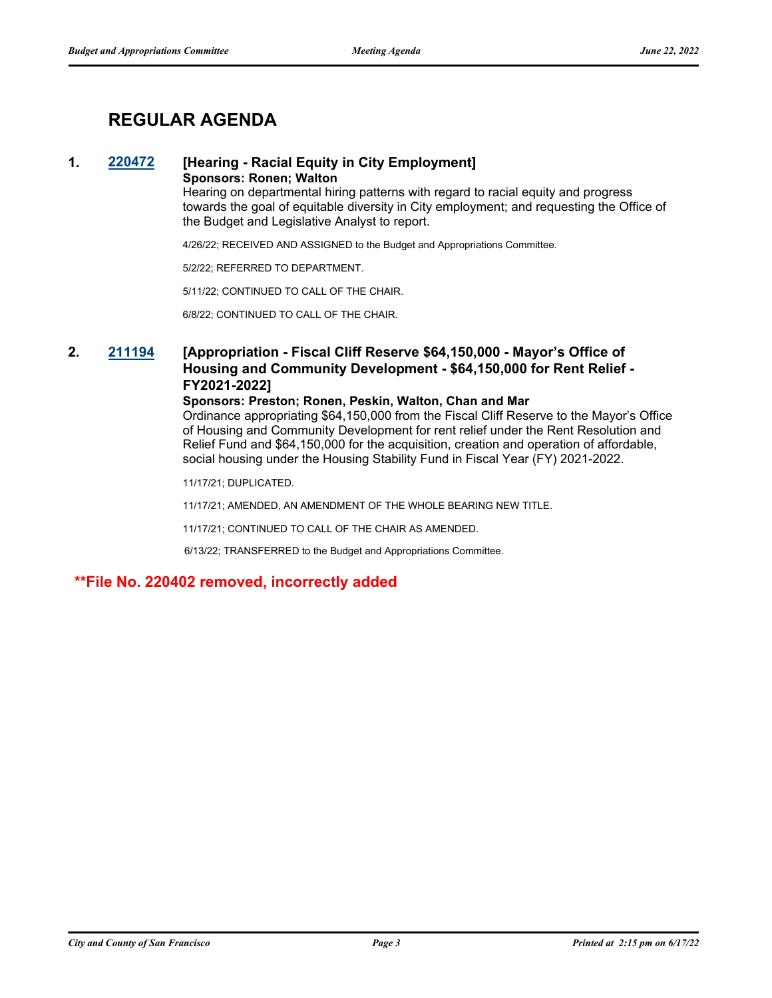# **REGULAR AGENDA**

#### **1. [220472](http://sfgov.legistar.com/gateway.aspx?m=l&id=38664) [Hearing - Racial Equity in City Employment] Sponsors: Ronen; Walton**

Hearing on departmental hiring patterns with regard to racial equity and progress towards the goal of equitable diversity in City employment; and requesting the Office of the Budget and Legislative Analyst to report.

4/26/22; RECEIVED AND ASSIGNED to the Budget and Appropriations Committee.

5/2/22; REFERRED TO DEPARTMENT.

5/11/22; CONTINUED TO CALL OF THE CHAIR.

6/8/22; CONTINUED TO CALL OF THE CHAIR.

## **2. [211194](http://sfgov.legistar.com/gateway.aspx?m=l&id=38064) [Appropriation - Fiscal Cliff Reserve \$64,150,000 - Mayor's Office of Housing and Community Development - \$64,150,000 for Rent Relief - FY2021-2022]**

#### **Sponsors: Preston; Ronen, Peskin, Walton, Chan and Mar**

Ordinance appropriating \$64,150,000 from the Fiscal Cliff Reserve to the Mayor's Office of Housing and Community Development for rent relief under the Rent Resolution and Relief Fund and \$64,150,000 for the acquisition, creation and operation of affordable, social housing under the Housing Stability Fund in Fiscal Year (FY) 2021-2022.

11/17/21; DUPLICATED.

11/17/21; AMENDED, AN AMENDMENT OF THE WHOLE BEARING NEW TITLE.

11/17/21; CONTINUED TO CALL OF THE CHAIR AS AMENDED.

6/13/22; TRANSFERRED to the Budget and Appropriations Committee.

### **\*\*File No. 220402 removed, incorrectly added**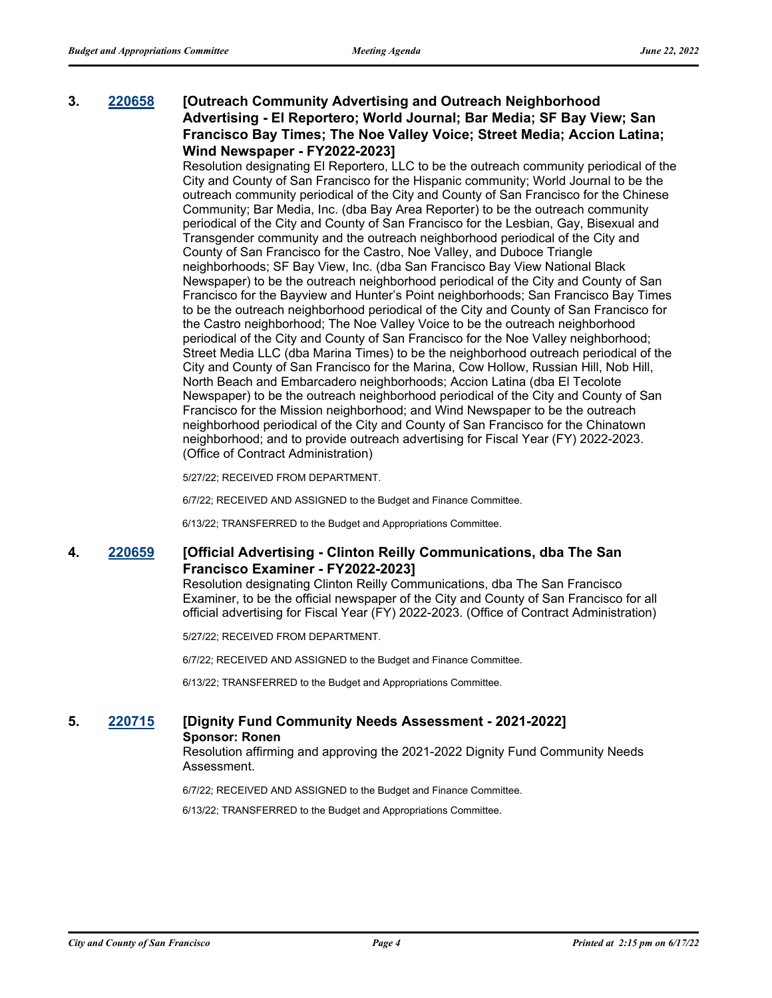## **3. [220658](http://sfgov.legistar.com/gateway.aspx?m=l&id=38850) [Outreach Community Advertising and Outreach Neighborhood Advertising - El Reportero; World Journal; Bar Media; SF Bay View; San Francisco Bay Times; The Noe Valley Voice; Street Media; Accion Latina; Wind Newspaper - FY2022-2023]**

Resolution designating El Reportero, LLC to be the outreach community periodical of the City and County of San Francisco for the Hispanic community; World Journal to be the outreach community periodical of the City and County of San Francisco for the Chinese Community; Bar Media, Inc. (dba Bay Area Reporter) to be the outreach community periodical of the City and County of San Francisco for the Lesbian, Gay, Bisexual and Transgender community and the outreach neighborhood periodical of the City and County of San Francisco for the Castro, Noe Valley, and Duboce Triangle neighborhoods; SF Bay View, Inc. (dba San Francisco Bay View National Black Newspaper) to be the outreach neighborhood periodical of the City and County of San Francisco for the Bayview and Hunter's Point neighborhoods; San Francisco Bay Times to be the outreach neighborhood periodical of the City and County of San Francisco for the Castro neighborhood; The Noe Valley Voice to be the outreach neighborhood periodical of the City and County of San Francisco for the Noe Valley neighborhood; Street Media LLC (dba Marina Times) to be the neighborhood outreach periodical of the City and County of San Francisco for the Marina, Cow Hollow, Russian Hill, Nob Hill, North Beach and Embarcadero neighborhoods; Accion Latina (dba El Tecolote Newspaper) to be the outreach neighborhood periodical of the City and County of San Francisco for the Mission neighborhood; and Wind Newspaper to be the outreach neighborhood periodical of the City and County of San Francisco for the Chinatown neighborhood; and to provide outreach advertising for Fiscal Year (FY) 2022-2023. (Office of Contract Administration)

5/27/22; RECEIVED FROM DEPARTMENT.

6/7/22; RECEIVED AND ASSIGNED to the Budget and Finance Committee.

6/13/22; TRANSFERRED to the Budget and Appropriations Committee.

### **4. [220659](http://sfgov.legistar.com/gateway.aspx?m=l&id=38851) [Official Advertising - Clinton Reilly Communications, dba The San Francisco Examiner - FY2022-2023]**

Resolution designating Clinton Reilly Communications, dba The San Francisco Examiner, to be the official newspaper of the City and County of San Francisco for all official advertising for Fiscal Year (FY) 2022-2023. (Office of Contract Administration)

5/27/22; RECEIVED FROM DEPARTMENT.

6/7/22; RECEIVED AND ASSIGNED to the Budget and Finance Committee.

6/13/22; TRANSFERRED to the Budget and Appropriations Committee.

#### **5. 220715 [Dignity Fund Community Needs Assessment - 2021-2022] Sponsor: Ronen**

Resolution affirming and approving the 2021-2022 Dignity Fund Community Needs Assessment.

6/7/22; RECEIVED AND ASSIGNED to the Budget and Finance Committee.

6/13/22; TRANSFERRED to the Budget and Appropriations Committee.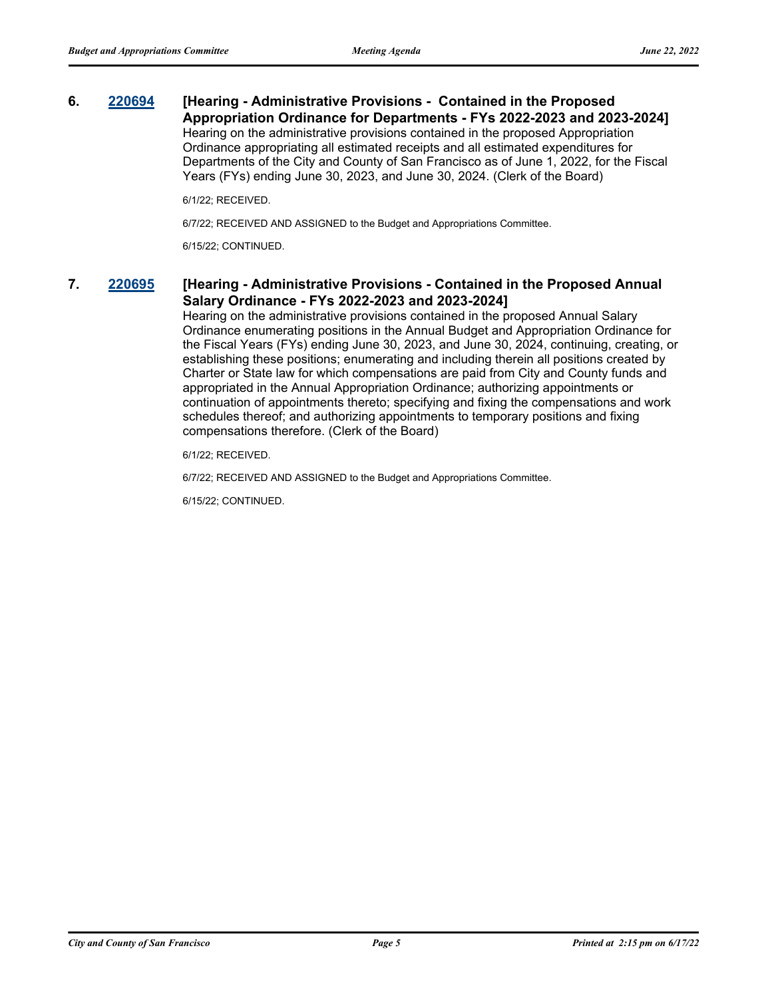## **6. [220694](http://sfgov.legistar.com/gateway.aspx?m=l&id=38886) [Hearing - Administrative Provisions - Contained in the Proposed Appropriation Ordinance for Departments - FYs 2022-2023 and 2023-2024]** Hearing on the administrative provisions contained in the proposed Appropriation

Ordinance appropriating all estimated receipts and all estimated expenditures for Departments of the City and County of San Francisco as of June 1, 2022, for the Fiscal Years (FYs) ending June 30, 2023, and June 30, 2024. (Clerk of the Board)

6/1/22; RECEIVED.

6/7/22; RECEIVED AND ASSIGNED to the Budget and Appropriations Committee.

6/15/22; CONTINUED.

## **7. [220695](http://sfgov.legistar.com/gateway.aspx?m=l&id=38887) [Hearing - Administrative Provisions - Contained in the Proposed Annual Salary Ordinance - FYs 2022-2023 and 2023-2024]**

Hearing on the administrative provisions contained in the proposed Annual Salary Ordinance enumerating positions in the Annual Budget and Appropriation Ordinance for the Fiscal Years (FYs) ending June 30, 2023, and June 30, 2024, continuing, creating, or establishing these positions; enumerating and including therein all positions created by Charter or State law for which compensations are paid from City and County funds and appropriated in the Annual Appropriation Ordinance; authorizing appointments or continuation of appointments thereto; specifying and fixing the compensations and work schedules thereof; and authorizing appointments to temporary positions and fixing compensations therefore. (Clerk of the Board)

6/1/22; RECEIVED.

6/7/22; RECEIVED AND ASSIGNED to the Budget and Appropriations Committee.

6/15/22; CONTINUED.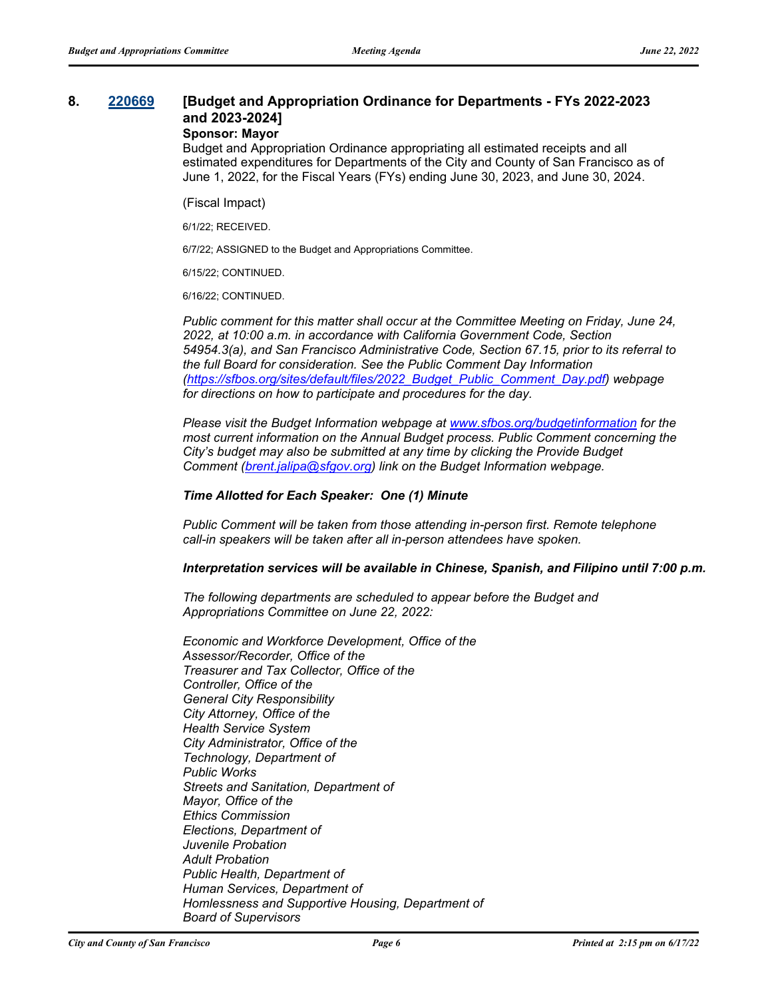## **8. [220669](http://sfgov.legistar.com/gateway.aspx?m=l&id=38861) [Budget and Appropriation Ordinance for Departments - FYs 2022-2023 and 2023-2024]**

## **Sponsor: Mayor**

Budget and Appropriation Ordinance appropriating all estimated receipts and all estimated expenditures for Departments of the City and County of San Francisco as of June 1, 2022, for the Fiscal Years (FYs) ending June 30, 2023, and June 30, 2024.

(Fiscal Impact)

6/1/22; RECEIVED.

6/7/22; ASSIGNED to the Budget and Appropriations Committee.

6/15/22; CONTINUED.

6/16/22; CONTINUED.

*Public comment for this matter shall occur at the Committee Meeting on Friday, June 24, 2022, at 10:00 a.m. in accordance with California Government Code, Section 54954.3(a), and San Francisco Administrative Code, Section 67.15, prior to its referral to the full Board for consideration. See the Public Comment Day Information [\(https://sfbos.org/sites/default/files/2022\\_Budget\\_Public\\_Comment\\_Day.pdf\)](https://sfbos.org/sites/default/files/2022_Budget_Public_Comment_Day.pdf) webpage for directions on how to participate and procedures for the day.*

*Please visit the Budget Information webpage at [www.sfbos.org/budgetinformation f](www.sfbos.org/budgetinformation)or the most current information on the Annual Budget process. Public Comment concerning the City's budget may also be submitted at any time by clicking the Provide Budget Comment [\(brent.jalipa@sfgov.org\)](mailto:brent.jalipa@sfgov.org) link on the Budget Information webpage.* 

#### *Time Allotted for Each Speaker: One (1) Minute*

*Public Comment will be taken from those attending in-person first. Remote telephone call-in speakers will be taken after all in-person attendees have spoken.*

#### *Interpretation services will be available in Chinese, Spanish, and Filipino until 7:00 p.m.*

*The following departments are scheduled to appear before the Budget and Appropriations Committee on June 22, 2022:*

*Economic and Workforce Development, Office of the Assessor/Recorder, Office of the Treasurer and Tax Collector, Office of the Controller, Office of the General City Responsibility City Attorney, Office of the Health Service System City Administrator, Office of the Technology, Department of Public Works Streets and Sanitation, Department of Mayor, Office of the Ethics Commission Elections, Department of Juvenile Probation Adult Probation Public Health, Department of Human Services, Department of Homlessness and Supportive Housing, Department of Board of Supervisors*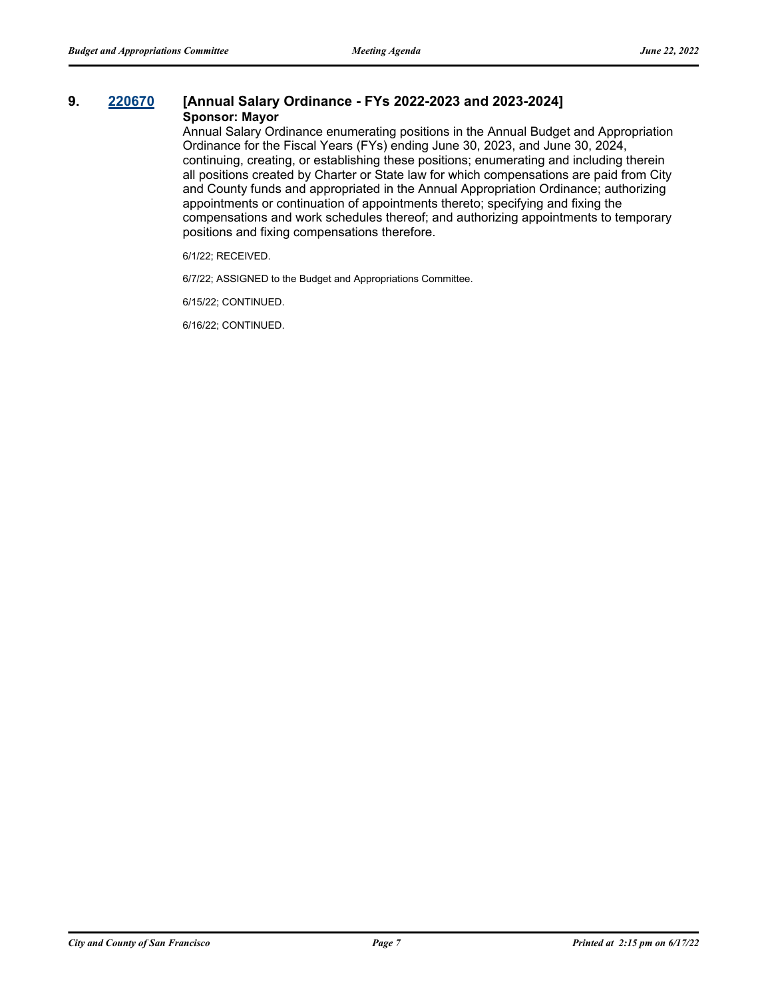#### **9. [220670](http://sfgov.legistar.com/gateway.aspx?m=l&id=38862) [Annual Salary Ordinance - FYs 2022-2023 and 2023-2024] Sponsor: Mayor**

Annual Salary Ordinance enumerating positions in the Annual Budget and Appropriation Ordinance for the Fiscal Years (FYs) ending June 30, 2023, and June 30, 2024, continuing, creating, or establishing these positions; enumerating and including therein all positions created by Charter or State law for which compensations are paid from City and County funds and appropriated in the Annual Appropriation Ordinance; authorizing appointments or continuation of appointments thereto; specifying and fixing the compensations and work schedules thereof; and authorizing appointments to temporary positions and fixing compensations therefore.

6/1/22; RECEIVED.

6/7/22; ASSIGNED to the Budget and Appropriations Committee.

6/15/22; CONTINUED.

6/16/22; CONTINUED.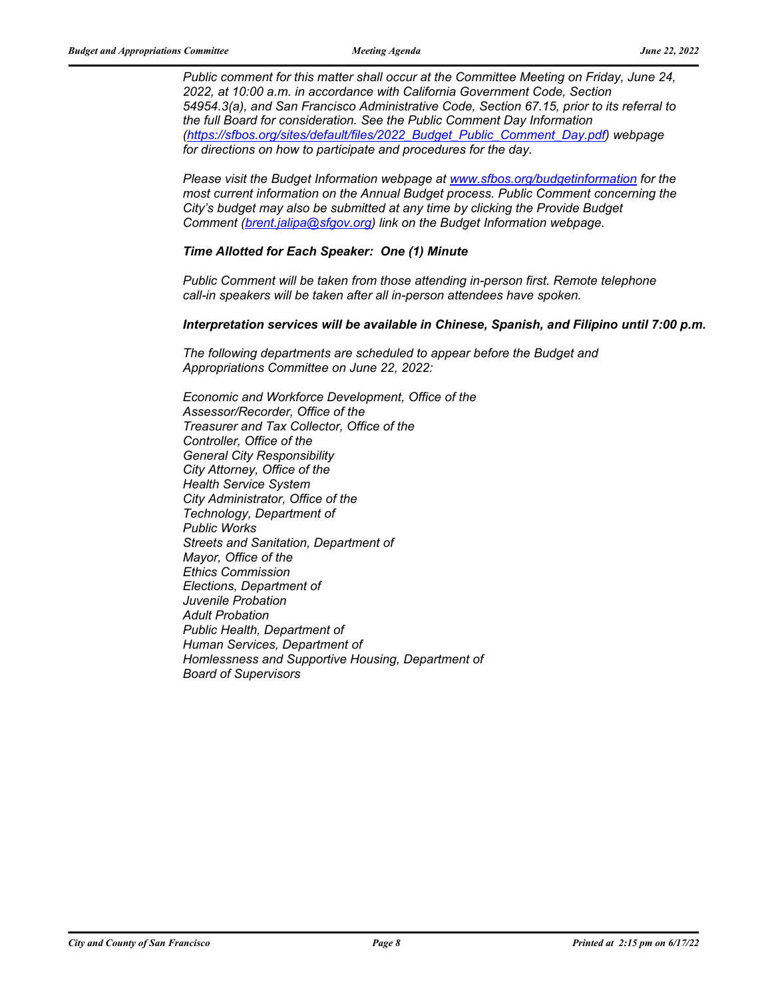*Public comment for this matter shall occur at the Committee Meeting on Friday, June 24, 2022, at 10:00 a.m. in accordance with California Government Code, Section 54954.3(a), and San Francisco Administrative Code, Section 67.15, prior to its referral to the full Board for consideration. See the Public Comment Day Information [\(https://sfbos.org/sites/default/files/2022\\_Budget\\_Public\\_Comment\\_Day.pdf\)](https://sfbos.org/sites/default/files/2022_Budget_Public_Comment_Day.pdf) webpage for directions on how to participate and procedures for the day.*

*Please visit the Budget Information webpage at<www.sfbos.org/budgetinformation>for the most current information on the Annual Budget process. Public Comment concerning the City's budget may also be submitted at any time by clicking the Provide Budget Comment [\(brent.jalipa@sfgov.org\)](mailto:brent.jalipa@sfgov.org) link on the Budget Information webpage.* 

#### *Time Allotted for Each Speaker: One (1) Minute*

*Public Comment will be taken from those attending in-person first. Remote telephone call-in speakers will be taken after all in-person attendees have spoken.*

#### *Interpretation services will be available in Chinese, Spanish, and Filipino until 7:00 p.m.*

*The following departments are scheduled to appear before the Budget and Appropriations Committee on June 22, 2022:*

*Economic and Workforce Development, Office of the Assessor/Recorder, Office of the Treasurer and Tax Collector, Office of the Controller, Office of the General City Responsibility City Attorney, Office of the Health Service System City Administrator, Office of the Technology, Department of Public Works Streets and Sanitation, Department of Mayor, Office of the Ethics Commission Elections, Department of Juvenile Probation Adult Probation Public Health, Department of Human Services, Department of Homlessness and Supportive Housing, Department of Board of Supervisors*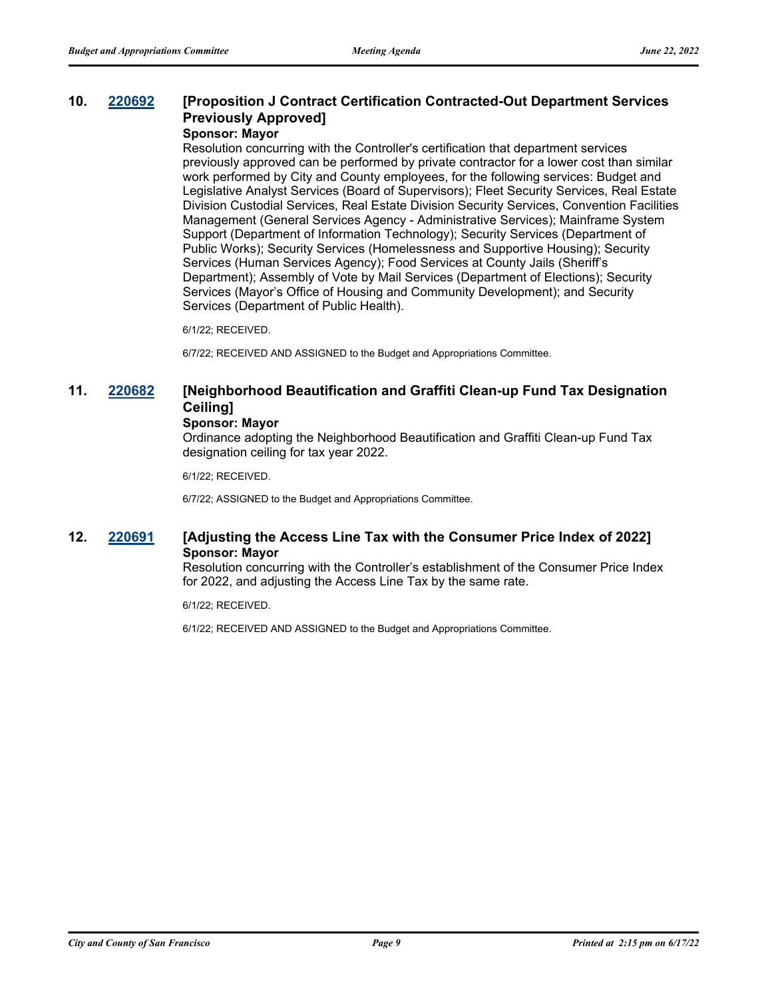## **10. [220692](http://sfgov.legistar.com/gateway.aspx?m=l&id=38884) [Proposition J Contract Certification Contracted-Out Department Services Previously Approved]**

## **Sponsor: Mayor**

Resolution concurring with the Controller's certification that department services previously approved can be performed by private contractor for a lower cost than similar work performed by City and County employees, for the following services: Budget and Legislative Analyst Services (Board of Supervisors); Fleet Security Services, Real Estate Division Custodial Services, Real Estate Division Security Services, Convention Facilities Management (General Services Agency - Administrative Services); Mainframe System Support (Department of Information Technology); Security Services (Department of Public Works); Security Services (Homelessness and Supportive Housing); Security Services (Human Services Agency); Food Services at County Jails (Sheriff's Department); Assembly of Vote by Mail Services (Department of Elections); Security Services (Mayor's Office of Housing and Community Development); and Security Services (Department of Public Health).

6/1/22; RECEIVED.

6/7/22; RECEIVED AND ASSIGNED to the Budget and Appropriations Committee.

## **11. [220682](http://sfgov.legistar.com/gateway.aspx?m=l&id=38874) [Neighborhood Beautification and Graffiti Clean-up Fund Tax Designation Ceiling]**

#### **Sponsor: Mayor**

Ordinance adopting the Neighborhood Beautification and Graffiti Clean-up Fund Tax designation ceiling for tax year 2022.

6/1/22; RECEIVED.

6/7/22; ASSIGNED to the Budget and Appropriations Committee.

## **12. [220691](http://sfgov.legistar.com/gateway.aspx?m=l&id=38883) [Adjusting the Access Line Tax with the Consumer Price Index of 2022] Sponsor: Mayor**

Resolution concurring with the Controller's establishment of the Consumer Price Index for 2022, and adjusting the Access Line Tax by the same rate.

6/1/22; RECEIVED.

6/1/22; RECEIVED AND ASSIGNED to the Budget and Appropriations Committee.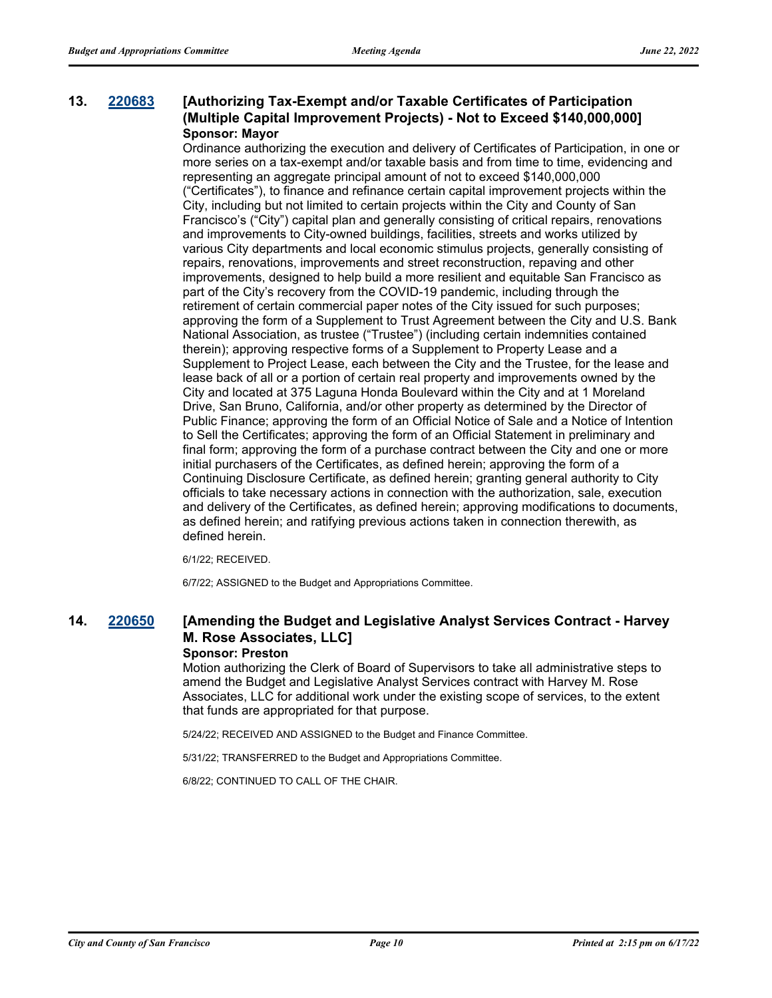### **13. [220683](http://sfgov.legistar.com/gateway.aspx?m=l&id=38875) [Authorizing Tax-Exempt and/or Taxable Certificates of Participation (Multiple Capital Improvement Projects) - Not to Exceed \$140,000,000] Sponsor: Mayor**

Ordinance authorizing the execution and delivery of Certificates of Participation, in one or more series on a tax-exempt and/or taxable basis and from time to time, evidencing and representing an aggregate principal amount of not to exceed \$140,000,000 ("Certificates"), to finance and refinance certain capital improvement projects within the City, including but not limited to certain projects within the City and County of San Francisco's ("City") capital plan and generally consisting of critical repairs, renovations and improvements to City-owned buildings, facilities, streets and works utilized by various City departments and local economic stimulus projects, generally consisting of repairs, renovations, improvements and street reconstruction, repaving and other improvements, designed to help build a more resilient and equitable San Francisco as part of the City's recovery from the COVID-19 pandemic, including through the retirement of certain commercial paper notes of the City issued for such purposes; approving the form of a Supplement to Trust Agreement between the City and U.S. Bank National Association, as trustee ("Trustee") (including certain indemnities contained therein); approving respective forms of a Supplement to Property Lease and a Supplement to Project Lease, each between the City and the Trustee, for the lease and lease back of all or a portion of certain real property and improvements owned by the City and located at 375 Laguna Honda Boulevard within the City and at 1 Moreland Drive, San Bruno, California, and/or other property as determined by the Director of Public Finance; approving the form of an Official Notice of Sale and a Notice of Intention to Sell the Certificates; approving the form of an Official Statement in preliminary and final form; approving the form of a purchase contract between the City and one or more initial purchasers of the Certificates, as defined herein; approving the form of a Continuing Disclosure Certificate, as defined herein; granting general authority to City officials to take necessary actions in connection with the authorization, sale, execution and delivery of the Certificates, as defined herein; approving modifications to documents, as defined herein; and ratifying previous actions taken in connection therewith, as defined herein.

6/1/22; RECEIVED.

6/7/22; ASSIGNED to the Budget and Appropriations Committee.

# **14. [220650](http://sfgov.legistar.com/gateway.aspx?m=l&id=38842) [Amending the Budget and Legislative Analyst Services Contract - Harvey M. Rose Associates, LLC]**

#### **Sponsor: Preston**

Motion authorizing the Clerk of Board of Supervisors to take all administrative steps to amend the Budget and Legislative Analyst Services contract with Harvey M. Rose Associates, LLC for additional work under the existing scope of services, to the extent that funds are appropriated for that purpose.

5/24/22; RECEIVED AND ASSIGNED to the Budget and Finance Committee.

5/31/22; TRANSFERRED to the Budget and Appropriations Committee.

6/8/22; CONTINUED TO CALL OF THE CHAIR.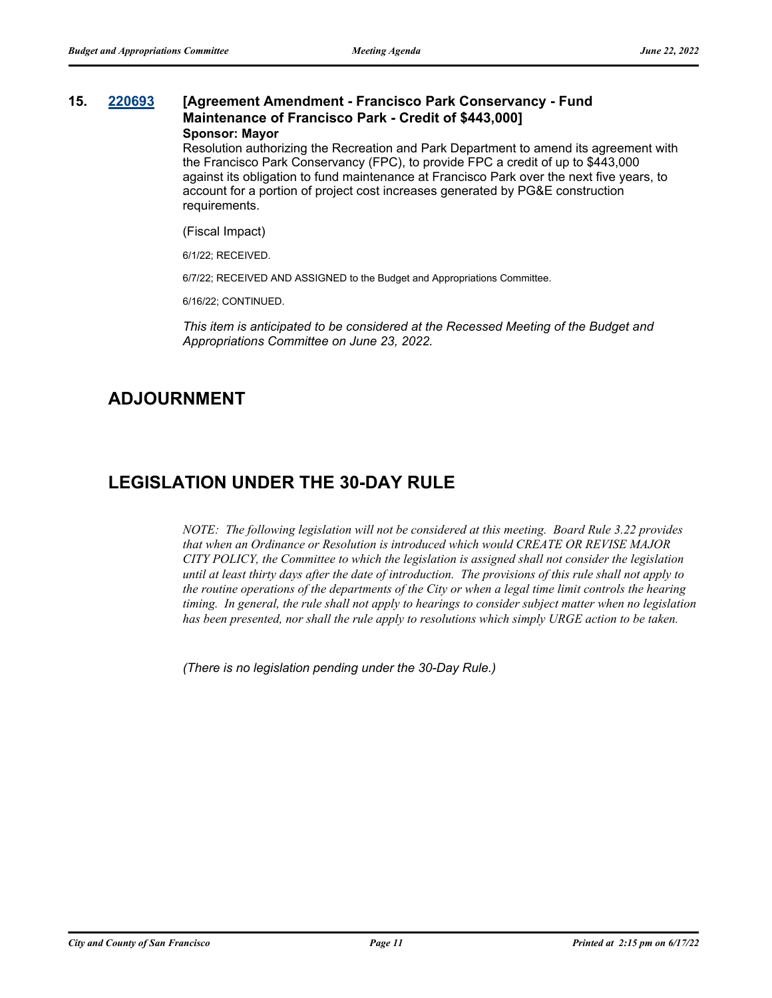#### **15. [220693](http://sfgov.legistar.com/gateway.aspx?m=l&id=38885) [Agreement Amendment - Francisco Park Conservancy - Fund Maintenance of Francisco Park - Credit of \$443,000] Sponsor: Mayor**

Resolution authorizing the Recreation and Park Department to amend its agreement with the Francisco Park Conservancy (FPC), to provide FPC a credit of up to \$443,000 against its obligation to fund maintenance at Francisco Park over the next five years, to account for a portion of project cost increases generated by PG&E construction requirements.

(Fiscal Impact)

6/1/22; RECEIVED.

6/7/22; RECEIVED AND ASSIGNED to the Budget and Appropriations Committee.

6/16/22; CONTINUED.

*This item is anticipated to be considered at the Recessed Meeting of the Budget and Appropriations Committee on June 23, 2022.*

# **ADJOURNMENT**

# **LEGISLATION UNDER THE 30-DAY RULE**

*NOTE: The following legislation will not be considered at this meeting. Board Rule 3.22 provides that when an Ordinance or Resolution is introduced which would CREATE OR REVISE MAJOR CITY POLICY, the Committee to which the legislation is assigned shall not consider the legislation until at least thirty days after the date of introduction. The provisions of this rule shall not apply to the routine operations of the departments of the City or when a legal time limit controls the hearing timing. In general, the rule shall not apply to hearings to consider subject matter when no legislation has been presented, nor shall the rule apply to resolutions which simply URGE action to be taken.*

*(There is no legislation pending under the 30-Day Rule.)*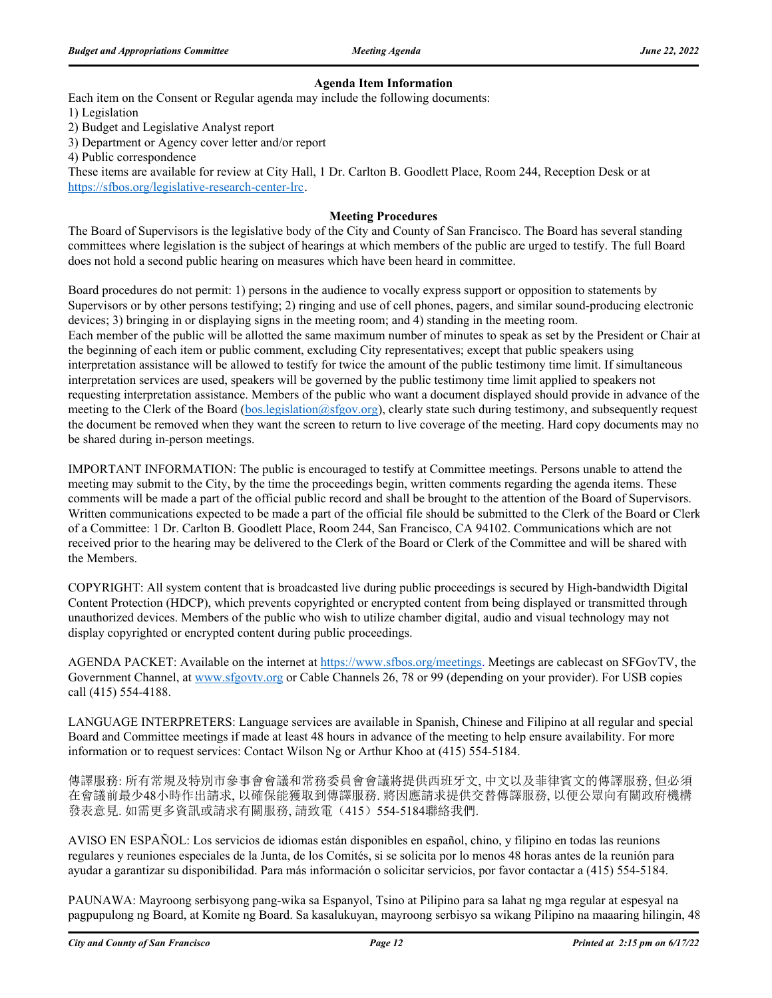#### **Agenda Item Information**

Each item on the Consent or Regular agenda may include the following documents:

1) Legislation

2) Budget and Legislative Analyst report

3) Department or Agency cover letter and/or report

4) Public correspondence

These items are available for review at City Hall, 1 Dr. Carlton B. Goodlett Place, Room 244, Reception Desk or at https://sfbos.org/legislative-research-center-lrc.

#### **Meeting Procedures**

The Board of Supervisors is the legislative body of the City and County of San Francisco. The Board has several standing committees where legislation is the subject of hearings at which members of the public are urged to testify. The full Board does not hold a second public hearing on measures which have been heard in committee.

Board procedures do not permit: 1) persons in the audience to vocally express support or opposition to statements by Supervisors or by other persons testifying; 2) ringing and use of cell phones, pagers, and similar sound-producing electronic devices; 3) bringing in or displaying signs in the meeting room; and 4) standing in the meeting room. Each member of the public will be allotted the same maximum number of minutes to speak as set by the President or Chair at the beginning of each item or public comment, excluding City representatives; except that public speakers using interpretation assistance will be allowed to testify for twice the amount of the public testimony time limit. If simultaneous interpretation services are used, speakers will be governed by the public testimony time limit applied to speakers not requesting interpretation assistance. Members of the public who want a document displayed should provide in advance of the meeting to the Clerk of the Board (bos.legislation@sfgov.org), clearly state such during testimony, and subsequently request the document be removed when they want the screen to return to live coverage of the meeting. Hard copy documents may no be shared during in-person meetings.

IMPORTANT INFORMATION: The public is encouraged to testify at Committee meetings. Persons unable to attend the meeting may submit to the City, by the time the proceedings begin, written comments regarding the agenda items. These comments will be made a part of the official public record and shall be brought to the attention of the Board of Supervisors. Written communications expected to be made a part of the official file should be submitted to the Clerk of the Board or Clerk of a Committee: 1 Dr. Carlton B. Goodlett Place, Room 244, San Francisco, CA 94102. Communications which are not received prior to the hearing may be delivered to the Clerk of the Board or Clerk of the Committee and will be shared with the Members.

COPYRIGHT: All system content that is broadcasted live during public proceedings is secured by High-bandwidth Digital Content Protection (HDCP), which prevents copyrighted or encrypted content from being displayed or transmitted through unauthorized devices. Members of the public who wish to utilize chamber digital, audio and visual technology may not display copyrighted or encrypted content during public proceedings.

AGENDA PACKET: Available on the internet at https://www.sfbos.org/meetings. Meetings are cablecast on SFGovTV, the Government Channel, at www.sfgovtv.org or Cable Channels 26, 78 or 99 (depending on your provider). For USB copies call (415) 554-4188.

LANGUAGE INTERPRETERS: Language services are available in Spanish, Chinese and Filipino at all regular and special Board and Committee meetings if made at least 48 hours in advance of the meeting to help ensure availability. For more information or to request services: Contact Wilson Ng or Arthur Khoo at (415) 554-5184.

傳譯服務: 所有常規及特別市參事會會議和常務委員會會議將提供西班牙文, 中文以及菲律賓文的傳譯服務, 但必須 在會議前最少48小時作出請求, 以確保能獲取到傳譯服務. 將因應請求提供交替傳譯服務, 以便公眾向有關政府機構 發表意見. 如需更多資訊或請求有關服務, 請致電(415) 554-5184聯絡我們.

AVISO EN ESPAÑOL: Los servicios de idiomas están disponibles en español, chino, y filipino en todas las reunions regulares y reuniones especiales de la Junta, de los Comités, si se solicita por lo menos 48 horas antes de la reunión para ayudar a garantizar su disponibilidad. Para más información o solicitar servicios, por favor contactar a (415) 554-5184.

PAUNAWA: Mayroong serbisyong pang-wika sa Espanyol, Tsino at Pilipino para sa lahat ng mga regular at espesyal na pagpupulong ng Board, at Komite ng Board. Sa kasalukuyan, mayroong serbisyo sa wikang Pilipino na maaaring hilingin, 48